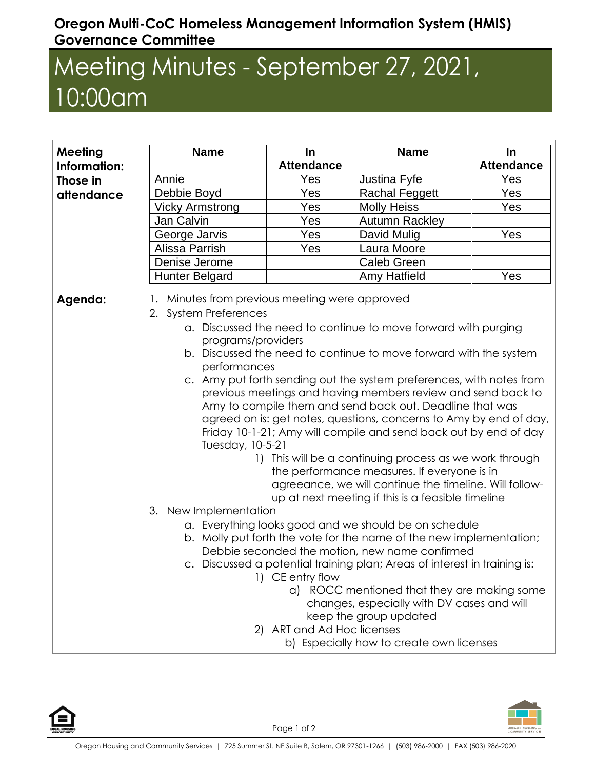## **Oregon Multi-CoC Homeless Management Information System (HMIS) Governance Committee**

## Meeting Minutes - September 27, 2021, 10:00am

| Meeting      | <b>Name</b>                                                                                                                                                                                                                                                                                                                                                                                                                                                                                                                                                                                                                                                                                                                                                                                                                                                                                                                                                                                                                                                                                                                                                                                                                                                                                                                                                                  | In                | <b>Name</b>           | In                |
|--------------|------------------------------------------------------------------------------------------------------------------------------------------------------------------------------------------------------------------------------------------------------------------------------------------------------------------------------------------------------------------------------------------------------------------------------------------------------------------------------------------------------------------------------------------------------------------------------------------------------------------------------------------------------------------------------------------------------------------------------------------------------------------------------------------------------------------------------------------------------------------------------------------------------------------------------------------------------------------------------------------------------------------------------------------------------------------------------------------------------------------------------------------------------------------------------------------------------------------------------------------------------------------------------------------------------------------------------------------------------------------------------|-------------------|-----------------------|-------------------|
| Information: |                                                                                                                                                                                                                                                                                                                                                                                                                                                                                                                                                                                                                                                                                                                                                                                                                                                                                                                                                                                                                                                                                                                                                                                                                                                                                                                                                                              | <b>Attendance</b> |                       | <b>Attendance</b> |
| Those in     | Annie                                                                                                                                                                                                                                                                                                                                                                                                                                                                                                                                                                                                                                                                                                                                                                                                                                                                                                                                                                                                                                                                                                                                                                                                                                                                                                                                                                        | Yes               | Justina Fyfe          | Yes               |
| attendance   | Debbie Boyd                                                                                                                                                                                                                                                                                                                                                                                                                                                                                                                                                                                                                                                                                                                                                                                                                                                                                                                                                                                                                                                                                                                                                                                                                                                                                                                                                                  | Yes               | <b>Rachal Feggett</b> | Yes               |
|              | <b>Vicky Armstrong</b>                                                                                                                                                                                                                                                                                                                                                                                                                                                                                                                                                                                                                                                                                                                                                                                                                                                                                                                                                                                                                                                                                                                                                                                                                                                                                                                                                       | Yes               | <b>Molly Heiss</b>    | Yes               |
|              | Jan Calvin                                                                                                                                                                                                                                                                                                                                                                                                                                                                                                                                                                                                                                                                                                                                                                                                                                                                                                                                                                                                                                                                                                                                                                                                                                                                                                                                                                   | Yes               | <b>Autumn Rackley</b> |                   |
|              | George Jarvis                                                                                                                                                                                                                                                                                                                                                                                                                                                                                                                                                                                                                                                                                                                                                                                                                                                                                                                                                                                                                                                                                                                                                                                                                                                                                                                                                                | Yes               | David Mulig           | Yes               |
|              | Alissa Parrish                                                                                                                                                                                                                                                                                                                                                                                                                                                                                                                                                                                                                                                                                                                                                                                                                                                                                                                                                                                                                                                                                                                                                                                                                                                                                                                                                               | Yes               | Laura Moore           |                   |
|              | Denise Jerome                                                                                                                                                                                                                                                                                                                                                                                                                                                                                                                                                                                                                                                                                                                                                                                                                                                                                                                                                                                                                                                                                                                                                                                                                                                                                                                                                                |                   | <b>Caleb Green</b>    |                   |
|              | <b>Hunter Belgard</b>                                                                                                                                                                                                                                                                                                                                                                                                                                                                                                                                                                                                                                                                                                                                                                                                                                                                                                                                                                                                                                                                                                                                                                                                                                                                                                                                                        |                   | <b>Amy Hatfield</b>   | Yes               |
| Agenda:      | Minutes from previous meeting were approved<br>2. System Preferences<br>a. Discussed the need to continue to move forward with purging<br>programs/providers<br>b. Discussed the need to continue to move forward with the system<br>performances<br>c. Amy put forth sending out the system preferences, with notes from<br>previous meetings and having members review and send back to<br>Amy to compile them and send back out. Deadline that was<br>agreed on is: get notes, questions, concerns to Amy by end of day,<br>Friday 10-1-21; Amy will compile and send back out by end of day<br>Tuesday, 10-5-21<br>This will be a continuing process as we work through<br>$\left  \ \right $<br>the performance measures. If everyone is in<br>agreeance, we will continue the timeline. Will follow-<br>up at next meeting if this is a feasible timeline<br>3. New Implementation<br>a. Everything looks good and we should be on schedule<br>b. Molly put forth the vote for the name of the new implementation;<br>Debbie seconded the motion, new name confirmed<br>c. Discussed a potential training plan; Areas of interest in training is:<br>1) CE entry flow<br>a) ROCC mentioned that they are making some<br>changes, especially with DV cases and will<br>keep the group updated<br>2) ART and Ad Hoc licenses<br>b) Especially how to create own licenses |                   |                       |                   |